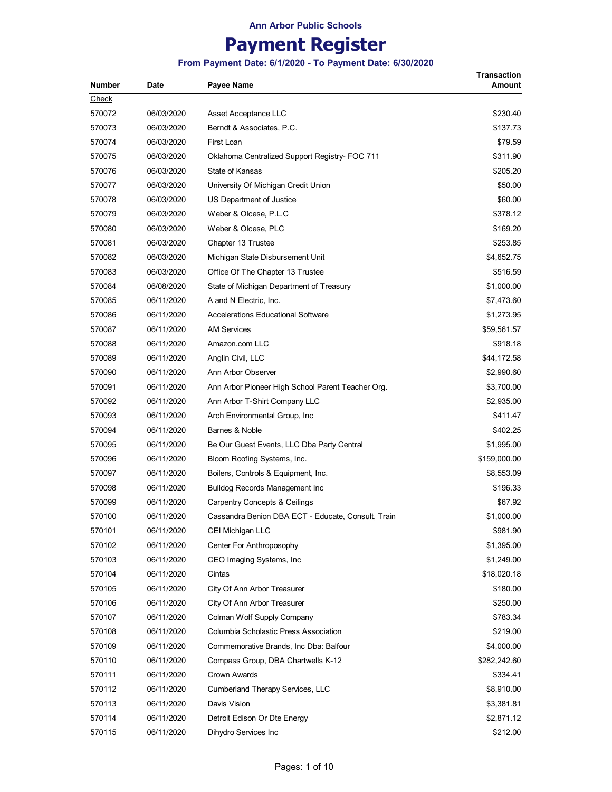# **Payment Register**

#### **From Payment Date: 6/1/2020 - To Payment Date: 6/30/2020**

**Transaction** 

| <b>Number</b> | Date       | Payee Name                                         | Amount       |
|---------------|------------|----------------------------------------------------|--------------|
| <u>Check</u>  |            |                                                    |              |
| 570072        | 06/03/2020 | Asset Acceptance LLC                               | \$230.40     |
| 570073        | 06/03/2020 | Berndt & Associates, P.C.                          | \$137.73     |
| 570074        | 06/03/2020 | First Loan                                         | \$79.59      |
| 570075        | 06/03/2020 | Oklahoma Centralized Support Registry- FOC 711     | \$311.90     |
| 570076        | 06/03/2020 | State of Kansas                                    | \$205.20     |
| 570077        | 06/03/2020 | University Of Michigan Credit Union                | \$50.00      |
| 570078        | 06/03/2020 | US Department of Justice                           | \$60.00      |
| 570079        | 06/03/2020 | Weber & Olcese, P.L.C                              | \$378.12     |
| 570080        | 06/03/2020 | Weber & Olcese, PLC                                | \$169.20     |
| 570081        | 06/03/2020 | Chapter 13 Trustee                                 | \$253.85     |
| 570082        | 06/03/2020 | Michigan State Disbursement Unit                   | \$4,652.75   |
| 570083        | 06/03/2020 | Office Of The Chapter 13 Trustee                   | \$516.59     |
| 570084        | 06/08/2020 | State of Michigan Department of Treasury           | \$1,000.00   |
| 570085        | 06/11/2020 | A and N Electric, Inc.                             | \$7,473.60   |
| 570086        | 06/11/2020 | <b>Accelerations Educational Software</b>          | \$1,273.95   |
| 570087        | 06/11/2020 | <b>AM Services</b>                                 | \$59,561.57  |
| 570088        | 06/11/2020 | Amazon.com LLC                                     | \$918.18     |
| 570089        | 06/11/2020 | Anglin Civil, LLC                                  | \$44,172.58  |
| 570090        | 06/11/2020 | Ann Arbor Observer                                 | \$2,990.60   |
| 570091        | 06/11/2020 | Ann Arbor Pioneer High School Parent Teacher Org.  | \$3,700.00   |
| 570092        | 06/11/2020 | Ann Arbor T-Shirt Company LLC                      | \$2,935.00   |
| 570093        | 06/11/2020 | Arch Environmental Group, Inc.                     | \$411.47     |
| 570094        | 06/11/2020 | Barnes & Noble                                     | \$402.25     |
| 570095        | 06/11/2020 | Be Our Guest Events, LLC Dba Party Central         | \$1,995.00   |
| 570096        | 06/11/2020 | Bloom Roofing Systems, Inc.                        | \$159,000.00 |
| 570097        | 06/11/2020 | Boilers, Controls & Equipment, Inc.                | \$8,553.09   |
| 570098        | 06/11/2020 | <b>Bulldog Records Management Inc.</b>             | \$196.33     |
| 570099        | 06/11/2020 | <b>Carpentry Concepts &amp; Ceilings</b>           | \$67.92      |
| 570100        | 06/11/2020 | Cassandra Benion DBA ECT - Educate, Consult, Train | \$1,000.00   |
| 570101        | 06/11/2020 | CEI Michigan LLC                                   | \$981.90     |
| 570102        | 06/11/2020 | Center For Anthroposophy                           | \$1,395.00   |
| 570103        | 06/11/2020 | CEO Imaging Systems, Inc.                          | \$1,249.00   |
| 570104        | 06/11/2020 | Cintas                                             | \$18,020.18  |
| 570105        | 06/11/2020 | City Of Ann Arbor Treasurer                        | \$180.00     |
| 570106        | 06/11/2020 | City Of Ann Arbor Treasurer                        | \$250.00     |
| 570107        | 06/11/2020 | Colman Wolf Supply Company                         | \$783.34     |
| 570108        | 06/11/2020 | Columbia Scholastic Press Association              | \$219.00     |
| 570109        | 06/11/2020 | Commemorative Brands, Inc Dba: Balfour             | \$4,000.00   |
| 570110        | 06/11/2020 | Compass Group, DBA Chartwells K-12                 | \$282,242.60 |
| 570111        | 06/11/2020 | Crown Awards                                       | \$334.41     |
| 570112        | 06/11/2020 | Cumberland Therapy Services, LLC                   | \$8,910.00   |
| 570113        | 06/11/2020 | Davis Vision                                       | \$3,381.81   |
| 570114        | 06/11/2020 | Detroit Edison Or Dte Energy                       | \$2,871.12   |
| 570115        | 06/11/2020 | Dihydro Services Inc                               | \$212.00     |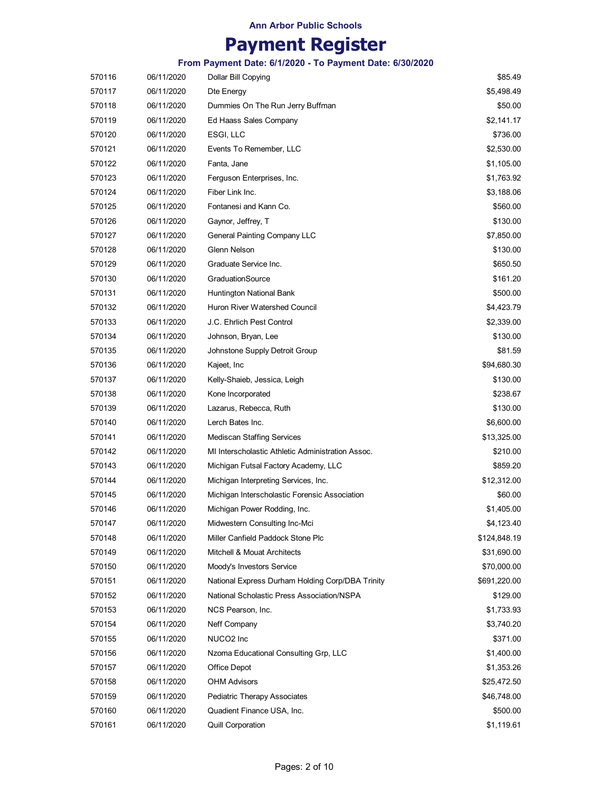## **Payment Register**

| 570116 | 06/11/2020 | Dollar Bill Copying                               | \$85.49      |
|--------|------------|---------------------------------------------------|--------------|
| 570117 | 06/11/2020 | Dte Energy                                        | \$5,498.49   |
| 570118 | 06/11/2020 | Dummies On The Run Jerry Buffman                  | \$50.00      |
| 570119 | 06/11/2020 | Ed Haass Sales Company                            | \$2,141.17   |
| 570120 | 06/11/2020 | ESGI, LLC                                         | \$736.00     |
| 570121 | 06/11/2020 | Events To Remember, LLC                           | \$2,530.00   |
| 570122 | 06/11/2020 | Fanta, Jane                                       | \$1,105.00   |
| 570123 | 06/11/2020 | Ferguson Enterprises, Inc.                        | \$1,763.92   |
| 570124 | 06/11/2020 | Fiber Link Inc.                                   | \$3,188.06   |
| 570125 | 06/11/2020 | Fontanesi and Kann Co.                            | \$560.00     |
| 570126 | 06/11/2020 | Gaynor, Jeffrey, T                                | \$130.00     |
| 570127 | 06/11/2020 | General Painting Company LLC                      | \$7,850.00   |
| 570128 | 06/11/2020 | Glenn Nelson                                      | \$130.00     |
| 570129 | 06/11/2020 | Graduate Service Inc.                             | \$650.50     |
| 570130 | 06/11/2020 | GraduationSource                                  | \$161.20     |
| 570131 | 06/11/2020 | Huntington National Bank                          | \$500.00     |
| 570132 | 06/11/2020 | Huron River Watershed Council                     | \$4,423.79   |
| 570133 | 06/11/2020 | J.C. Ehrlich Pest Control                         | \$2,339.00   |
| 570134 | 06/11/2020 | Johnson, Bryan, Lee                               | \$130.00     |
| 570135 | 06/11/2020 | Johnstone Supply Detroit Group                    | \$81.59      |
| 570136 | 06/11/2020 | Kajeet, Inc                                       | \$94,680.30  |
| 570137 | 06/11/2020 | Kelly-Shaieb, Jessica, Leigh                      | \$130.00     |
| 570138 | 06/11/2020 | Kone Incorporated                                 | \$238.67     |
| 570139 | 06/11/2020 | Lazarus, Rebecca, Ruth                            | \$130.00     |
| 570140 | 06/11/2020 | Lerch Bates Inc.                                  | \$6,600.00   |
| 570141 | 06/11/2020 | <b>Mediscan Staffing Services</b>                 | \$13,325.00  |
| 570142 | 06/11/2020 | MI Interscholastic Athletic Administration Assoc. | \$210.00     |
| 570143 | 06/11/2020 | Michigan Futsal Factory Academy, LLC              | \$859.20     |
| 570144 | 06/11/2020 | Michigan Interpreting Services, Inc.              | \$12,312.00  |
| 570145 | 06/11/2020 | Michigan Interscholastic Forensic Association     | \$60.00      |
| 570146 | 06/11/2020 | Michigan Power Rodding, Inc.                      | \$1,405.00   |
| 570147 | 06/11/2020 | Midwestern Consulting Inc-Mci                     | \$4,123.40   |
| 570148 | 06/11/2020 | Miller Canfield Paddock Stone Plc                 | \$124,848.19 |
| 570149 | 06/11/2020 | Mitchell & Mouat Architects                       | \$31,690.00  |
| 570150 | 06/11/2020 | Moody's Investors Service                         | \$70,000.00  |
| 570151 | 06/11/2020 | National Express Durham Holding Corp/DBA Trinity  | \$691,220.00 |
| 570152 | 06/11/2020 | National Scholastic Press Association/NSPA        | \$129.00     |
| 570153 | 06/11/2020 | NCS Pearson, Inc.                                 | \$1,733.93   |
| 570154 | 06/11/2020 | Neff Company                                      | \$3,740.20   |
| 570155 | 06/11/2020 | NUCO <sub>2</sub> Inc                             | \$371.00     |
| 570156 | 06/11/2020 | Nzoma Educational Consulting Grp, LLC             | \$1,400.00   |
| 570157 | 06/11/2020 | Office Depot                                      | \$1,353.26   |
| 570158 | 06/11/2020 | <b>OHM Advisors</b>                               | \$25,472.50  |
| 570159 | 06/11/2020 | Pediatric Therapy Associates                      | \$46,748.00  |
| 570160 | 06/11/2020 | Quadient Finance USA, Inc.                        | \$500.00     |
| 570161 | 06/11/2020 | Quill Corporation                                 | \$1,119.61   |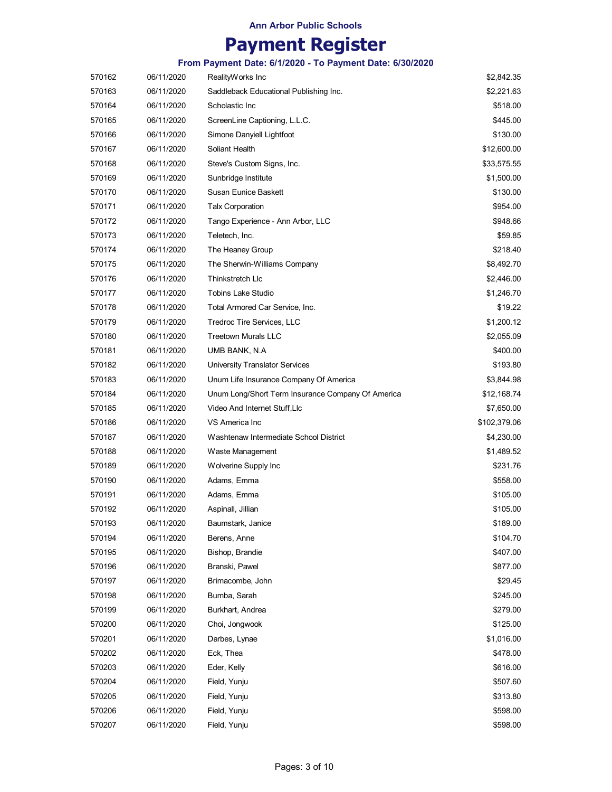## **Payment Register**

| 570162 | 06/11/2020 | RealityWorks Inc                                  | \$2,842.35   |
|--------|------------|---------------------------------------------------|--------------|
| 570163 | 06/11/2020 | Saddleback Educational Publishing Inc.            | \$2,221.63   |
| 570164 | 06/11/2020 | Scholastic Inc                                    | \$518.00     |
| 570165 | 06/11/2020 | ScreenLine Captioning, L.L.C.                     | \$445.00     |
| 570166 | 06/11/2020 | Simone Danyiell Lightfoot                         | \$130.00     |
| 570167 | 06/11/2020 | Soliant Health                                    | \$12,600.00  |
| 570168 | 06/11/2020 | Steve's Custom Signs, Inc.                        | \$33,575.55  |
| 570169 | 06/11/2020 | Sunbridge Institute                               | \$1,500.00   |
| 570170 | 06/11/2020 | Susan Eunice Baskett                              | \$130.00     |
| 570171 | 06/11/2020 | <b>Talx Corporation</b>                           | \$954.00     |
| 570172 | 06/11/2020 | Tango Experience - Ann Arbor, LLC                 | \$948.66     |
| 570173 | 06/11/2020 | Teletech, Inc.                                    | \$59.85      |
| 570174 | 06/11/2020 | The Heaney Group                                  | \$218.40     |
| 570175 | 06/11/2020 | The Sherwin-Williams Company                      | \$8,492.70   |
| 570176 | 06/11/2020 | Thinkstretch Llc                                  | \$2,446.00   |
| 570177 | 06/11/2020 | Tobins Lake Studio                                | \$1,246.70   |
| 570178 | 06/11/2020 | Total Armored Car Service, Inc.                   | \$19.22      |
| 570179 | 06/11/2020 | Tredroc Tire Services, LLC                        | \$1,200.12   |
| 570180 | 06/11/2020 | <b>Treetown Murals LLC</b>                        | \$2,055.09   |
| 570181 | 06/11/2020 | UMB BANK, N.A                                     | \$400.00     |
| 570182 | 06/11/2020 | University Translator Services                    | \$193.80     |
| 570183 | 06/11/2020 | Unum Life Insurance Company Of America            | \$3,844.98   |
| 570184 | 06/11/2020 | Unum Long/Short Term Insurance Company Of America | \$12,168.74  |
| 570185 | 06/11/2020 | Video And Internet Stuff, Llc                     | \$7,650.00   |
| 570186 | 06/11/2020 | VS America Inc                                    | \$102,379.06 |
| 570187 | 06/11/2020 | Washtenaw Intermediate School District            | \$4,230.00   |
| 570188 | 06/11/2020 | Waste Management                                  | \$1,489.52   |
| 570189 | 06/11/2020 | Wolverine Supply Inc                              | \$231.76     |
| 570190 | 06/11/2020 | Adams, Emma                                       | \$558.00     |
| 570191 | 06/11/2020 | Adams, Emma                                       | \$105.00     |
| 570192 | 06/11/2020 | Aspinall, Jillian                                 | \$105.00     |
| 570193 | 06/11/2020 | Baumstark, Janice                                 | \$189.00     |
| 570194 | 06/11/2020 | Berens, Anne                                      | \$104.70     |
| 570195 | 06/11/2020 | Bishop, Brandie                                   | \$407.00     |
| 570196 | 06/11/2020 | Branski, Pawel                                    | \$877.00     |
| 570197 | 06/11/2020 | Brimacombe, John                                  | \$29.45      |
| 570198 | 06/11/2020 | Bumba, Sarah                                      | \$245.00     |
| 570199 | 06/11/2020 | Burkhart, Andrea                                  | \$279.00     |
| 570200 | 06/11/2020 | Choi, Jongwook                                    | \$125.00     |
| 570201 | 06/11/2020 | Darbes, Lynae                                     | \$1,016.00   |
| 570202 | 06/11/2020 | Eck, Thea                                         | \$478.00     |
| 570203 | 06/11/2020 | Eder, Kelly                                       | \$616.00     |
| 570204 | 06/11/2020 | Field, Yunju                                      | \$507.60     |
| 570205 | 06/11/2020 | Field, Yunju                                      | \$313.80     |
| 570206 | 06/11/2020 | Field, Yunju                                      | \$598.00     |
| 570207 | 06/11/2020 | Field, Yunju                                      | \$598.00     |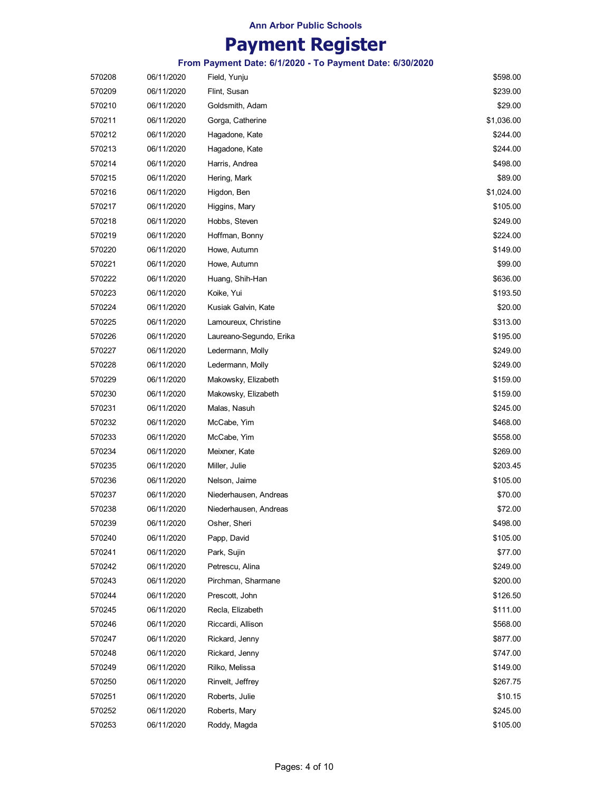# **Payment Register**

| 570208 | 06/11/2020 | Field, Yunju            | \$598.00   |
|--------|------------|-------------------------|------------|
| 570209 | 06/11/2020 | Flint, Susan            | \$239.00   |
| 570210 | 06/11/2020 | Goldsmith, Adam         | \$29.00    |
| 570211 | 06/11/2020 | Gorga, Catherine        | \$1,036.00 |
| 570212 | 06/11/2020 | Hagadone, Kate          | \$244.00   |
| 570213 | 06/11/2020 | Hagadone, Kate          | \$244.00   |
| 570214 | 06/11/2020 | Harris, Andrea          | \$498.00   |
| 570215 | 06/11/2020 | Hering, Mark            | \$89.00    |
| 570216 | 06/11/2020 | Higdon, Ben             | \$1,024.00 |
| 570217 | 06/11/2020 | Higgins, Mary           | \$105.00   |
| 570218 | 06/11/2020 | Hobbs, Steven           | \$249.00   |
| 570219 | 06/11/2020 | Hoffman, Bonny          | \$224.00   |
| 570220 | 06/11/2020 | Howe, Autumn            | \$149.00   |
| 570221 | 06/11/2020 | Howe, Autumn            | \$99.00    |
| 570222 | 06/11/2020 | Huang, Shih-Han         | \$636.00   |
| 570223 | 06/11/2020 | Koike, Yui              | \$193.50   |
| 570224 | 06/11/2020 | Kusiak Galvin, Kate     | \$20.00    |
| 570225 | 06/11/2020 | Lamoureux, Christine    | \$313.00   |
| 570226 | 06/11/2020 | Laureano-Segundo, Erika | \$195.00   |
| 570227 | 06/11/2020 | Ledermann, Molly        | \$249.00   |
| 570228 | 06/11/2020 | Ledermann, Molly        | \$249.00   |
| 570229 | 06/11/2020 | Makowsky, Elizabeth     | \$159.00   |
| 570230 | 06/11/2020 | Makowsky, Elizabeth     | \$159.00   |
| 570231 | 06/11/2020 | Malas, Nasuh            | \$245.00   |
| 570232 | 06/11/2020 | McCabe, Yim             | \$468.00   |
| 570233 | 06/11/2020 | McCabe, Yim             | \$558.00   |
| 570234 | 06/11/2020 | Meixner, Kate           | \$269.00   |
| 570235 | 06/11/2020 | Miller, Julie           | \$203.45   |
| 570236 | 06/11/2020 | Nelson, Jaime           | \$105.00   |
| 570237 | 06/11/2020 | Niederhausen, Andreas   | \$70.00    |
| 570238 | 06/11/2020 | Niederhausen, Andreas   | \$72.00    |
| 570239 | 06/11/2020 | Osher, Sheri            | \$498.00   |
| 570240 | 06/11/2020 | Papp, David             | \$105.00   |
| 570241 | 06/11/2020 | Park, Sujin             | \$77.00    |
| 570242 | 06/11/2020 | Petrescu, Alina         | \$249.00   |
| 570243 | 06/11/2020 | Pirchman, Sharmane      | \$200.00   |
| 570244 | 06/11/2020 | Prescott, John          | \$126.50   |
| 570245 | 06/11/2020 | Recla, Elizabeth        | \$111.00   |
| 570246 | 06/11/2020 | Riccardi, Allison       | \$568.00   |
| 570247 | 06/11/2020 | Rickard, Jenny          | \$877.00   |
| 570248 | 06/11/2020 | Rickard, Jenny          | \$747.00   |
| 570249 | 06/11/2020 | Rilko, Melissa          | \$149.00   |
| 570250 | 06/11/2020 | Rinvelt, Jeffrey        | \$267.75   |
| 570251 | 06/11/2020 | Roberts, Julie          | \$10.15    |
| 570252 | 06/11/2020 | Roberts, Mary           | \$245.00   |
| 570253 | 06/11/2020 | Roddy, Magda            | \$105.00   |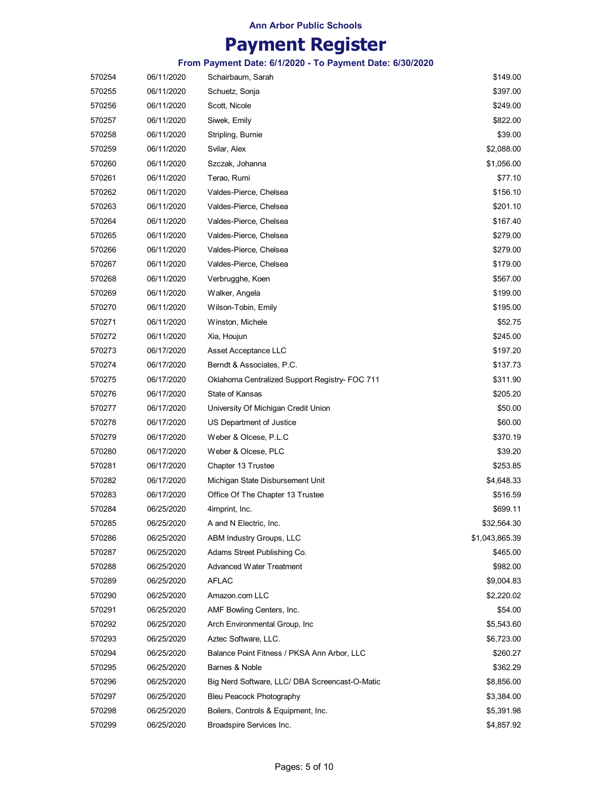## **Payment Register**

| 570254 | 06/11/2020 | Schairbaum, Sarah                              | \$149.00       |
|--------|------------|------------------------------------------------|----------------|
| 570255 | 06/11/2020 | Schuetz, Sonja                                 | \$397.00       |
| 570256 | 06/11/2020 | Scott, Nicole                                  | \$249.00       |
| 570257 | 06/11/2020 | Siwek, Emily                                   | \$822.00       |
| 570258 | 06/11/2020 | Stripling, Burnie                              | \$39.00        |
| 570259 | 06/11/2020 | Svilar, Alex                                   | \$2,088.00     |
| 570260 | 06/11/2020 | Szczak, Johanna                                | \$1,056.00     |
| 570261 | 06/11/2020 | Terao, Rumi                                    | \$77.10        |
| 570262 | 06/11/2020 | Valdes-Pierce, Chelsea                         | \$156.10       |
| 570263 | 06/11/2020 | Valdes-Pierce, Chelsea                         | \$201.10       |
| 570264 | 06/11/2020 | Valdes-Pierce, Chelsea                         | \$167.40       |
| 570265 | 06/11/2020 | Valdes-Pierce, Chelsea                         | \$279.00       |
| 570266 | 06/11/2020 | Valdes-Pierce, Chelsea                         | \$279.00       |
| 570267 | 06/11/2020 | Valdes-Pierce, Chelsea                         | \$179.00       |
| 570268 | 06/11/2020 | Verbrugghe, Koen                               | \$567.00       |
| 570269 | 06/11/2020 | Walker, Angela                                 | \$199.00       |
| 570270 | 06/11/2020 | Wilson-Tobin, Emily                            | \$195.00       |
| 570271 | 06/11/2020 | Winston, Michele                               | \$52.75        |
| 570272 | 06/11/2020 | Xia, Houjun                                    | \$245.00       |
| 570273 | 06/17/2020 | Asset Acceptance LLC                           | \$197.20       |
| 570274 | 06/17/2020 | Berndt & Associates, P.C.                      | \$137.73       |
| 570275 | 06/17/2020 | Oklahoma Centralized Support Registry- FOC 711 | \$311.90       |
| 570276 | 06/17/2020 | State of Kansas                                | \$205.20       |
| 570277 | 06/17/2020 | University Of Michigan Credit Union            | \$50.00        |
| 570278 | 06/17/2020 | US Department of Justice                       | \$60.00        |
| 570279 | 06/17/2020 | Weber & Olcese, P.L.C                          | \$370.19       |
| 570280 | 06/17/2020 | Weber & Olcese, PLC                            | \$39.20        |
| 570281 | 06/17/2020 | Chapter 13 Trustee                             | \$253.85       |
| 570282 | 06/17/2020 | Michigan State Disbursement Unit               | \$4,648.33     |
| 570283 | 06/17/2020 | Office Of The Chapter 13 Trustee               | \$516.59       |
| 570284 | 06/25/2020 | 4imprint, Inc.                                 | \$699.11       |
| 570285 | 06/25/2020 | A and N Electric, Inc.                         | \$32,564.30    |
| 570286 | 06/25/2020 | ABM Industry Groups, LLC                       | \$1,043,865.39 |
| 570287 | 06/25/2020 | Adams Street Publishing Co.                    | \$465.00       |
| 570288 | 06/25/2020 | <b>Advanced Water Treatment</b>                | \$982.00       |
| 570289 | 06/25/2020 | <b>AFLAC</b>                                   | \$9,004.83     |
| 570290 | 06/25/2020 | Amazon.com LLC                                 | \$2,220.02     |
| 570291 | 06/25/2020 | AMF Bowling Centers, Inc.                      | \$54.00        |
| 570292 | 06/25/2020 | Arch Environmental Group, Inc.                 | \$5,543.60     |
| 570293 | 06/25/2020 | Aztec Software, LLC.                           | \$6,723.00     |
| 570294 | 06/25/2020 | Balance Point Fitness / PKSA Ann Arbor, LLC    | \$260.27       |
| 570295 | 06/25/2020 | Barnes & Noble                                 | \$362.29       |
| 570296 | 06/25/2020 | Big Nerd Software, LLC/ DBA Screencast-O-Matic | \$8,856.00     |
| 570297 | 06/25/2020 | Bleu Peacock Photography                       | \$3,384.00     |
| 570298 | 06/25/2020 | Boilers, Controls & Equipment, Inc.            | \$5,391.98     |
| 570299 | 06/25/2020 | Broadspire Services Inc.                       | \$4,857.92     |
|        |            |                                                |                |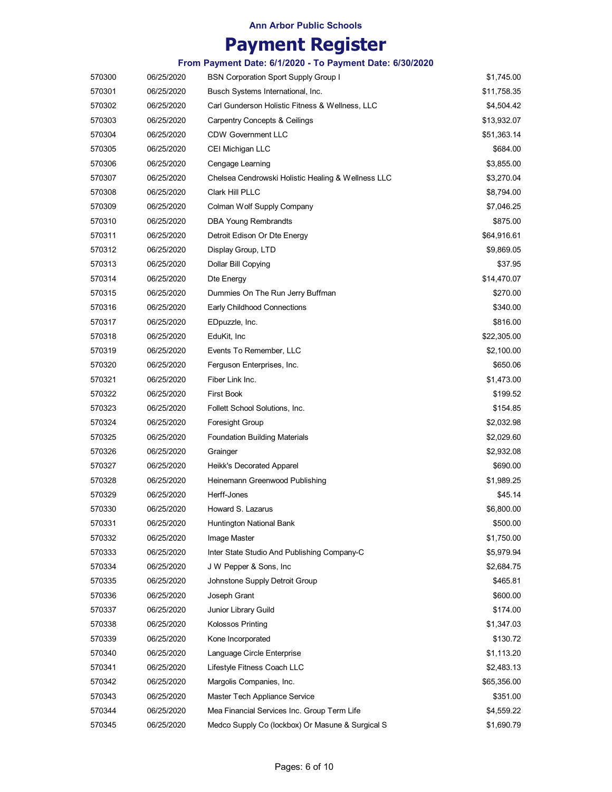## **Payment Register**

| 570300 | 06/25/2020 | <b>BSN Corporation Sport Supply Group I</b>        | \$1,745.00  |
|--------|------------|----------------------------------------------------|-------------|
| 570301 | 06/25/2020 | Busch Systems International, Inc.                  | \$11,758.35 |
| 570302 | 06/25/2020 | Carl Gunderson Holistic Fitness & Wellness, LLC    | \$4,504.42  |
| 570303 | 06/25/2020 | <b>Carpentry Concepts &amp; Ceilings</b>           | \$13,932.07 |
| 570304 | 06/25/2020 | <b>CDW Government LLC</b>                          | \$51,363.14 |
| 570305 | 06/25/2020 | CEI Michigan LLC                                   | \$684.00    |
| 570306 | 06/25/2020 | Cengage Learning                                   | \$3,855.00  |
| 570307 | 06/25/2020 | Chelsea Cendrowski Holistic Healing & Wellness LLC | \$3,270.04  |
| 570308 | 06/25/2020 | Clark Hill PLLC                                    | \$8,794.00  |
| 570309 | 06/25/2020 | Colman Wolf Supply Company                         | \$7,046.25  |
| 570310 | 06/25/2020 | <b>DBA Young Rembrandts</b>                        | \$875.00    |
| 570311 | 06/25/2020 | Detroit Edison Or Dte Energy                       | \$64,916.61 |
| 570312 | 06/25/2020 | Display Group, LTD                                 | \$9,869.05  |
| 570313 | 06/25/2020 | Dollar Bill Copying                                | \$37.95     |
| 570314 | 06/25/2020 | Dte Energy                                         | \$14,470.07 |
| 570315 | 06/25/2020 | Dummies On The Run Jerry Buffman                   | \$270.00    |
| 570316 | 06/25/2020 | Early Childhood Connections                        | \$340.00    |
| 570317 | 06/25/2020 | EDpuzzle, Inc.                                     | \$816.00    |
| 570318 | 06/25/2020 | EduKit, Inc                                        | \$22,305.00 |
| 570319 | 06/25/2020 | Events To Remember, LLC                            | \$2,100.00  |
| 570320 | 06/25/2020 | Ferguson Enterprises, Inc.                         | \$650.06    |
| 570321 | 06/25/2020 | Fiber Link Inc.                                    | \$1,473.00  |
| 570322 | 06/25/2020 | <b>First Book</b>                                  | \$199.52    |
| 570323 | 06/25/2020 | Follett School Solutions, Inc.                     | \$154.85    |
| 570324 | 06/25/2020 | Foresight Group                                    | \$2,032.98  |
| 570325 | 06/25/2020 | <b>Foundation Building Materials</b>               | \$2,029.60  |
| 570326 | 06/25/2020 | Grainger                                           | \$2,932.08  |
| 570327 | 06/25/2020 | Heikk's Decorated Apparel                          | \$690.00    |
| 570328 | 06/25/2020 | Heinemann Greenwood Publishing                     | \$1,989.25  |
| 570329 | 06/25/2020 | Herff-Jones                                        | \$45.14     |
| 570330 | 06/25/2020 | Howard S. Lazarus                                  | \$6,800.00  |
| 570331 | 06/25/2020 | Huntington National Bank                           | \$500.00    |
| 570332 | 06/25/2020 | Image Master                                       | \$1,750.00  |
| 570333 | 06/25/2020 | Inter State Studio And Publishing Company-C        | \$5,979.94  |
| 570334 | 06/25/2020 | J W Pepper & Sons, Inc                             | \$2,684.75  |
| 570335 | 06/25/2020 | Johnstone Supply Detroit Group                     | \$465.81    |
| 570336 | 06/25/2020 | Joseph Grant                                       | \$600.00    |
| 570337 | 06/25/2020 | Junior Library Guild                               | \$174.00    |
| 570338 | 06/25/2020 | Kolossos Printing                                  | \$1,347.03  |
| 570339 | 06/25/2020 | Kone Incorporated                                  | \$130.72    |
| 570340 | 06/25/2020 | Language Circle Enterprise                         | \$1,113.20  |
| 570341 | 06/25/2020 | Lifestyle Fitness Coach LLC                        | \$2,483.13  |
| 570342 | 06/25/2020 | Margolis Companies, Inc.                           | \$65,356.00 |
| 570343 | 06/25/2020 | Master Tech Appliance Service                      | \$351.00    |
| 570344 | 06/25/2020 | Mea Financial Services Inc. Group Term Life        | \$4,559.22  |
| 570345 | 06/25/2020 | Medco Supply Co (lockbox) Or Masune & Surgical S   | \$1,690.79  |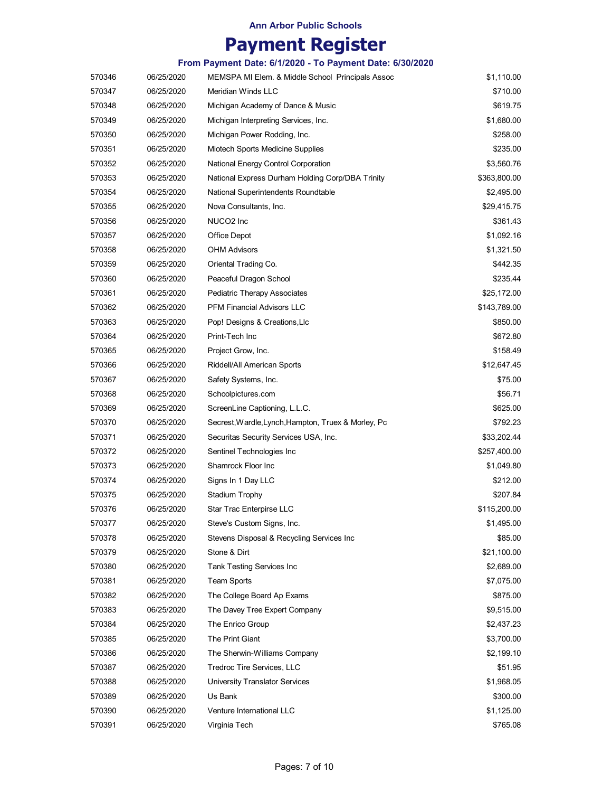# **Payment Register**

| 570346 | 06/25/2020 | MEMSPA MI Elem. & Middle School Principals Assoc    | \$1,110.00   |
|--------|------------|-----------------------------------------------------|--------------|
| 570347 | 06/25/2020 | Meridian Winds LLC                                  | \$710.00     |
| 570348 | 06/25/2020 | Michigan Academy of Dance & Music                   | \$619.75     |
| 570349 | 06/25/2020 | Michigan Interpreting Services, Inc.                | \$1,680.00   |
| 570350 | 06/25/2020 | Michigan Power Rodding, Inc.                        | \$258.00     |
| 570351 | 06/25/2020 | Miotech Sports Medicine Supplies                    | \$235.00     |
| 570352 | 06/25/2020 | National Energy Control Corporation                 | \$3,560.76   |
| 570353 | 06/25/2020 | National Express Durham Holding Corp/DBA Trinity    | \$363,800.00 |
| 570354 | 06/25/2020 | National Superintendents Roundtable                 | \$2,495.00   |
| 570355 | 06/25/2020 | Nova Consultants, Inc.                              | \$29,415.75  |
| 570356 | 06/25/2020 | NUCO <sub>2</sub> Inc                               | \$361.43     |
| 570357 | 06/25/2020 | Office Depot                                        | \$1,092.16   |
| 570358 | 06/25/2020 | <b>OHM Advisors</b>                                 | \$1,321.50   |
| 570359 | 06/25/2020 | Oriental Trading Co.                                | \$442.35     |
| 570360 | 06/25/2020 | Peaceful Dragon School                              | \$235.44     |
| 570361 | 06/25/2020 | Pediatric Therapy Associates                        | \$25,172.00  |
| 570362 | 06/25/2020 | <b>PFM Financial Advisors LLC</b>                   | \$143,789.00 |
| 570363 | 06/25/2020 | Pop! Designs & Creations, Llc                       | \$850.00     |
| 570364 | 06/25/2020 | Print-Tech Inc                                      | \$672.80     |
| 570365 | 06/25/2020 | Project Grow, Inc.                                  | \$158.49     |
| 570366 | 06/25/2020 | Riddell/All American Sports                         | \$12,647.45  |
| 570367 | 06/25/2020 | Safety Systems, Inc.                                | \$75.00      |
| 570368 | 06/25/2020 | Schoolpictures.com                                  | \$56.71      |
| 570369 | 06/25/2020 | ScreenLine Captioning, L.L.C.                       | \$625.00     |
| 570370 | 06/25/2020 | Secrest, Wardle, Lynch, Hampton, Truex & Morley, Pc | \$792.23     |
| 570371 | 06/25/2020 | Securitas Security Services USA, Inc.               | \$33,202.44  |
| 570372 | 06/25/2020 | Sentinel Technologies Inc                           | \$257,400.00 |
| 570373 | 06/25/2020 | Shamrock Floor Inc                                  | \$1,049.80   |
| 570374 | 06/25/2020 | Signs In 1 Day LLC                                  | \$212.00     |
| 570375 | 06/25/2020 | Stadium Trophy                                      | \$207.84     |
| 570376 | 06/25/2020 | Star Trac Enterpirse LLC                            | \$115,200.00 |
| 570377 | 06/25/2020 | Steve's Custom Signs, Inc.                          | \$1,495.00   |
| 570378 | 06/25/2020 | Stevens Disposal & Recycling Services Inc           | \$85.00      |
| 570379 | 06/25/2020 | Stone & Dirt                                        | \$21,100.00  |
| 570380 | 06/25/2020 | Tank Testing Services Inc                           | \$2,689.00   |
| 570381 | 06/25/2020 | Team Sports                                         | \$7,075.00   |
| 570382 | 06/25/2020 | The College Board Ap Exams                          | \$875.00     |
| 570383 | 06/25/2020 | The Davey Tree Expert Company                       | \$9,515.00   |
| 570384 | 06/25/2020 | The Enrico Group                                    | \$2,437.23   |
| 570385 | 06/25/2020 | The Print Giant                                     | \$3,700.00   |
| 570386 | 06/25/2020 | The Sherwin-Williams Company                        | \$2,199.10   |
| 570387 | 06/25/2020 | Tredroc Tire Services, LLC                          | \$51.95      |
| 570388 | 06/25/2020 | <b>University Translator Services</b>               | \$1,968.05   |
| 570389 | 06/25/2020 | Us Bank                                             | \$300.00     |
| 570390 | 06/25/2020 | Venture International LLC                           | \$1,125.00   |
| 570391 | 06/25/2020 | Virginia Tech                                       | \$765.08     |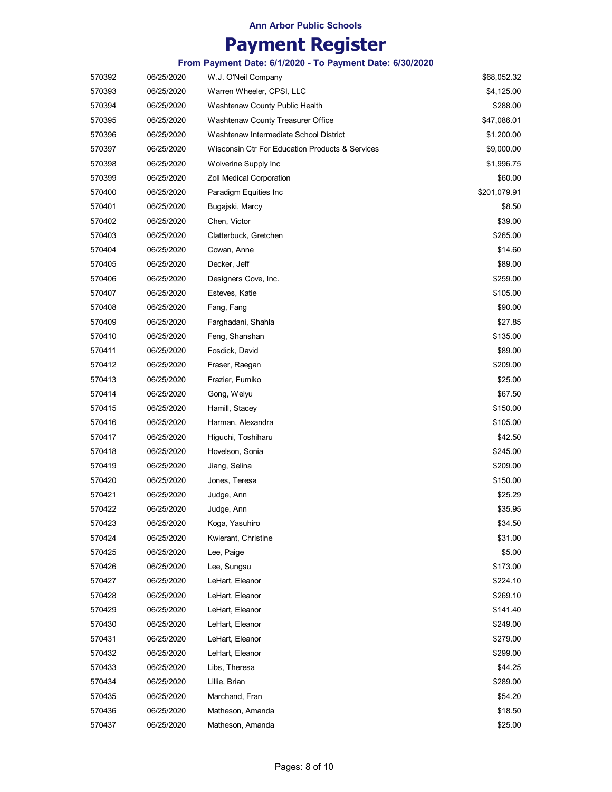## **Payment Register**

| 570392 | 06/25/2020 | W.J. O'Neil Company                             | \$68,052.32  |
|--------|------------|-------------------------------------------------|--------------|
| 570393 | 06/25/2020 | Warren Wheeler, CPSI, LLC                       | \$4,125.00   |
| 570394 | 06/25/2020 | Washtenaw County Public Health                  | \$288.00     |
| 570395 | 06/25/2020 | Washtenaw County Treasurer Office               | \$47,086.01  |
| 570396 | 06/25/2020 | Washtenaw Intermediate School District          | \$1,200.00   |
| 570397 | 06/25/2020 | Wisconsin Ctr For Education Products & Services | \$9,000.00   |
| 570398 | 06/25/2020 | Wolverine Supply Inc                            | \$1,996.75   |
| 570399 | 06/25/2020 | <b>Zoll Medical Corporation</b>                 | \$60.00      |
| 570400 | 06/25/2020 | Paradigm Equities Inc                           | \$201,079.91 |
| 570401 | 06/25/2020 | Bugajski, Marcy                                 | \$8.50       |
| 570402 | 06/25/2020 | Chen, Victor                                    | \$39.00      |
| 570403 | 06/25/2020 | Clatterbuck, Gretchen                           | \$265.00     |
| 570404 | 06/25/2020 | Cowan, Anne                                     | \$14.60      |
| 570405 | 06/25/2020 | Decker, Jeff                                    | \$89.00      |
| 570406 | 06/25/2020 | Designers Cove, Inc.                            | \$259.00     |
| 570407 | 06/25/2020 | Esteves, Katie                                  | \$105.00     |
| 570408 | 06/25/2020 | Fang, Fang                                      | \$90.00      |
| 570409 | 06/25/2020 | Farghadani, Shahla                              | \$27.85      |
| 570410 | 06/25/2020 | Feng, Shanshan                                  | \$135.00     |
| 570411 | 06/25/2020 | Fosdick, David                                  | \$89.00      |
| 570412 | 06/25/2020 | Fraser, Raegan                                  | \$209.00     |
| 570413 | 06/25/2020 | Frazier, Fumiko                                 | \$25.00      |
| 570414 | 06/25/2020 | Gong, Weiyu                                     | \$67.50      |
| 570415 | 06/25/2020 | Hamill, Stacey                                  | \$150.00     |
| 570416 | 06/25/2020 | Harman, Alexandra                               | \$105.00     |
| 570417 | 06/25/2020 | Higuchi, Toshiharu                              | \$42.50      |
| 570418 | 06/25/2020 | Hovelson, Sonia                                 | \$245.00     |
| 570419 | 06/25/2020 | Jiang, Selina                                   | \$209.00     |
| 570420 | 06/25/2020 | Jones, Teresa                                   | \$150.00     |
| 570421 | 06/25/2020 | Judge, Ann                                      | \$25.29      |
| 570422 | 06/25/2020 | Judge, Ann                                      | \$35.95      |
| 570423 | 06/25/2020 | Koga, Yasuhiro                                  | \$34.50      |
| 570424 | 06/25/2020 | Kwierant, Christine                             | \$31.00      |
| 570425 | 06/25/2020 | Lee, Paige                                      | \$5.00       |
| 570426 | 06/25/2020 | Lee, Sungsu                                     | \$173.00     |
| 570427 | 06/25/2020 | LeHart, Eleanor                                 | \$224.10     |
| 570428 | 06/25/2020 | LeHart, Eleanor                                 | \$269.10     |
| 570429 | 06/25/2020 | LeHart, Eleanor                                 | \$141.40     |
| 570430 | 06/25/2020 | LeHart, Eleanor                                 | \$249.00     |
| 570431 | 06/25/2020 | LeHart, Eleanor                                 | \$279.00     |
| 570432 | 06/25/2020 | LeHart, Eleanor                                 | \$299.00     |
| 570433 | 06/25/2020 | Libs, Theresa                                   | \$44.25      |
| 570434 | 06/25/2020 | Lillie, Brian                                   | \$289.00     |
| 570435 | 06/25/2020 | Marchand, Fran                                  | \$54.20      |
| 570436 | 06/25/2020 | Matheson, Amanda                                | \$18.50      |
| 570437 | 06/25/2020 | Matheson, Amanda                                | \$25.00      |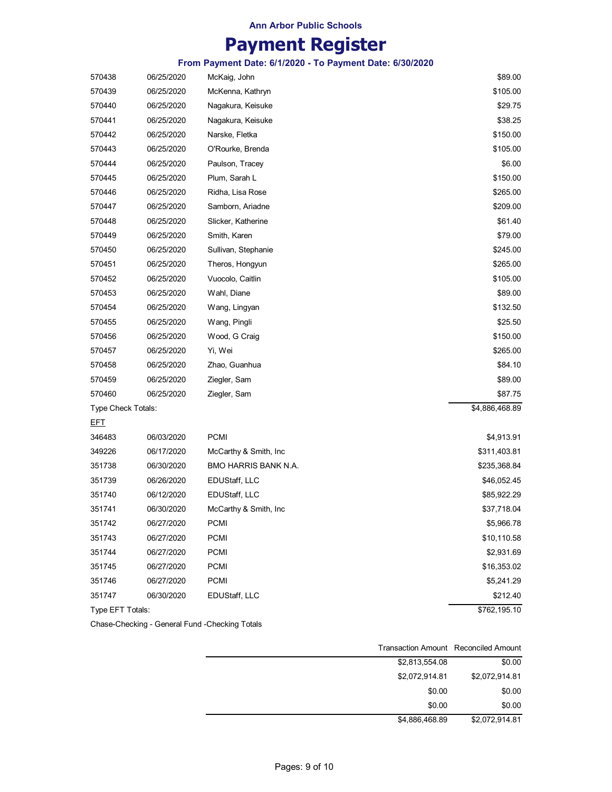## **Payment Register**

**From Payment Date: 6/1/2020 - To Payment Date: 6/30/2020**

| 570438             | 06/25/2020 | McKaig, John           | \$89.00        |
|--------------------|------------|------------------------|----------------|
| 570439             | 06/25/2020 | McKenna, Kathryn       | \$105.00       |
| 570440             | 06/25/2020 | Nagakura, Keisuke      | \$29.75        |
| 570441             | 06/25/2020 | Nagakura, Keisuke      | \$38.25        |
| 570442             | 06/25/2020 | Narske, Fletka         | \$150.00       |
| 570443             | 06/25/2020 | O'Rourke, Brenda       | \$105.00       |
| 570444             | 06/25/2020 | Paulson, Tracey        | \$6.00         |
| 570445             | 06/25/2020 | Plum, Sarah L          | \$150.00       |
| 570446             | 06/25/2020 | Ridha, Lisa Rose       | \$265.00       |
| 570447             | 06/25/2020 | Samborn, Ariadne       | \$209.00       |
| 570448             | 06/25/2020 | Slicker, Katherine     | \$61.40        |
| 570449             | 06/25/2020 | Smith, Karen           | \$79.00        |
| 570450             | 06/25/2020 | Sullivan, Stephanie    | \$245.00       |
| 570451             | 06/25/2020 | Theros, Hongyun        | \$265.00       |
| 570452             | 06/25/2020 | Vuocolo, Caitlin       | \$105.00       |
| 570453             | 06/25/2020 | Wahl, Diane            | \$89.00        |
| 570454             | 06/25/2020 | Wang, Lingyan          | \$132.50       |
| 570455             | 06/25/2020 | Wang, Pingli           | \$25.50        |
| 570456             | 06/25/2020 | Wood, G Craig          | \$150.00       |
| 570457             | 06/25/2020 | Yi, Wei                | \$265.00       |
| 570458             | 06/25/2020 | Zhao, Guanhua          | \$84.10        |
| 570459             | 06/25/2020 | Ziegler, Sam           | \$89.00        |
| 570460             | 06/25/2020 | Ziegler, Sam           | \$87.75        |
| Type Check Totals: |            |                        | \$4,886,468.89 |
| <u>EFT</u>         |            |                        |                |
| 346483             | 06/03/2020 | <b>PCMI</b>            | \$4,913.91     |
| 349226             | 06/17/2020 | McCarthy & Smith, Inc. | \$311,403.81   |
| 351738             | 06/30/2020 | BMO HARRIS BANK N.A.   | \$235,368.84   |
| 351739             | 06/26/2020 | EDUStaff, LLC          | \$46,052.45    |
| 351740             | 06/12/2020 | EDUStaff, LLC          | \$85,922.29    |
| 351741             | 06/30/2020 | McCarthy & Smith, Inc. | \$37,718.04    |
| 351742             | 06/27/2020 | <b>PCMI</b>            | \$5,966.78     |
| 351743             | 06/27/2020 | <b>PCMI</b>            | \$10,110.58    |
| 351744             | 06/27/2020 | PCMI                   | \$2,931.69     |
| 351745             | 06/27/2020 | <b>PCMI</b>            | \$16,353.02    |
| 351746             | 06/27/2020 | PCMI                   | \$5,241.29     |
| 351747             | 06/30/2020 | EDUStaff, LLC          | \$212.40       |
| Type EFT Totals:   |            |                        | \$762,195.10   |

Chase-Checking - General Fund -Checking Totals

| Transaction Amount Reconciled Amount |        |                |
|--------------------------------------|--------|----------------|
| \$2,813,554.08                       |        | \$0.00         |
| \$2,072,914.81                       |        | \$2,072,914.81 |
|                                      | \$0.00 | \$0.00         |
|                                      | \$0.00 | \$0.00         |
| \$4,886,468.89                       |        | \$2,072,914.81 |